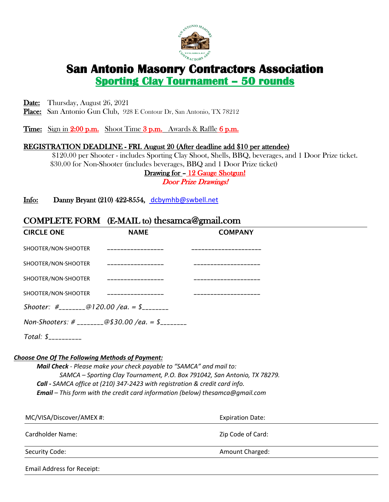

# **San Antonio Masonry Contractors Association<br>
Sporting Clay Tournament - 50 rounds**

Date: Thursday, August 26, 2021

Place: San Antonio Gun Club, 928 E Contour Dr, San Antonio, TX 78212

**Time:** Sign in  $2:00$  p.m. Shoot Time  $3$  p.m. Awards  $\&$  Raffle  $6$  p.m.

### REGISTRATION DEADLINE - FRI. August 20 (After deadline add \$10 per attendee)

 \$120.00 per Shooter - includes Sporting Clay Shoot, Shells, BBQ, beverages, and 1 Door Prize ticket. \$30.00 for Non-Shooter (includes beverages, BBQ and 1 Door Prize ticket)

Drawing for - 12 Gauge Shotgun!

Door Prize Drawings!

Info: Danny Bryant (210) 422-8554, dcbymhb@swbell.net

## COMPLETE FORM (E-MAIL to) thesamca@gmail.com

| <b>CIRCLE ONE</b>                                           | <b>NAME</b>                                         | <b>COMPANY</b> |  |
|-------------------------------------------------------------|-----------------------------------------------------|----------------|--|
| SHOOTER/NON-SHOOTER                                         | __________________                                  |                |  |
| SHOOTER/NON-SHOOTER                                         |                                                     |                |  |
| SHOOTER/NON-SHOOTER                                         |                                                     |                |  |
| SHOOTER/NON-SHOOTER __________________                      |                                                     |                |  |
| Shooter: $\#$ <sub>________</sub> @120.00 /ea. = \$________ |                                                     |                |  |
|                                                             | Non-Shooters: # ________@\$30.00 /ea. = \$ ________ |                |  |
| $Total: $$ ${}_{---}$ ${}_{---}$                            |                                                     |                |  |

#### *Choose One Of The Following Methods of Payment:*

 *Mail Check - Please make your check payable to "SAMCA" and mail to: SAMCA – Sporting Clay Tournament, P.O. Box 791042, San Antonio, TX 78279. Call - SAMCA office at (210) 347-2423 with registration & credit card info. Email – This form with the credit card information (below) thesamca@gmail.com*

| MC/VISA/Discover/AMEX #:          | <b>Expiration Date:</b> |
|-----------------------------------|-------------------------|
| Cardholder Name:                  | Zip Code of Card:       |
| Security Code:                    | Amount Charged:         |
| <b>Email Address for Receipt:</b> |                         |